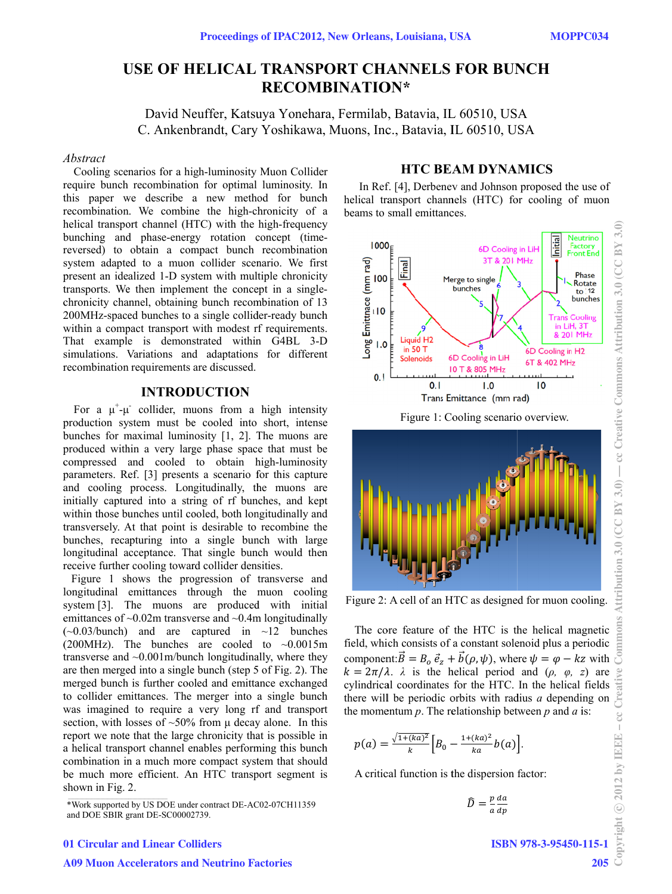# **USE OF HELICAL TRANSPORT CHANNELS FOR BUNCH**  $RECOMBINATION*$

David Neuffer, Katsuya Yonehara, Fermilab, Batavia, IL 60510, USA C. Ankenbrandt, Cary Yoshikawa, Muons, Inc., Batavia, IL 60510, USA

#### *A Abstract*

r require bunch recombinatio n for optimal luminosity. In require bunch recombination for optimal luminosity. In this paper we describe a new method for bunch recombination. We combine the high-chronicity of a helical transport channel (HTC) with the high-frequency helical transport channel (HTC) with the high-frequency<br>bunching and phase-energy rotation concept (timereversed) to obtain a compact bunch recombination present an idealized 1-D system with multiple chronicity present an idealized 1-D system with multiple chronicity transports. We then implement the concept in a singlechronicity channel, obtaining bunch recombination of 13 chronicity channel, obtaining bunch recombination of 13<br>200MHz-spaced bunches to a single collider-ready bunch within a compact transport with modest rf requirements. That example is demonstrated within G4BL 3-D recombination requirements are discussed. Cooling scenarios for a high-luminosity Muon Collider system adapted to a muon collider scenario. We first simulations. Variations and adaptations for different

### **INTRODUCTION**

For a  $\mu^+\mu^-$  collider, muons from a high intensity production system must be cooled into short, intense bunches for maximal luminosity [1, 2]. The muons are p produced with hin a very larg ge phase spac e that must b e c compressed a and cooled to obtain h high-luminosity compressed and cooled to obtain high-luminosity<br>parameters. Ref. [3] presents a scenario for this capture and cooling process. Longitudinally, the muons are initially captured into a string of rf bunches, and kept within those bunches until cooled, both longitudinally and within those bunches until cooled, both longitudinally and<br>transversely. At that point is desirable to recombine the bunches, recapturing into a single bunch with large longitudinal acceptance. That single bunch would then receive further cooling toward collider densities. For a  $\mu^{\dagger}$ - $\mu^{\dagger}$  collider, muons from a high intensity

longitudinal emittances through the muon cooling emittances of  $\sim 0.02$ m transverse and  $\sim 0.4$ m longitudinally emittances of ~0.02m transverse and ~0.4m longitudinally<br>(~0.03/bunch) and are captured in ~12 bunches (200MHz). The bunches are cooled to  $\sim 0.0015$ m transverse and ~0.001m/bunch longitudinally, where they are then merged into a single bunch (step 5 of Fig. 2). Th merged bunch is further cooled and emittance exchanged to collider emittances. The merger into a single bunch merged bunch is further cooled and emittance exchanged<br>to collider emittances. The merger into a single bunch<br>was imagined to require a very long rf and transport report we note that the large chronicity that is possible in a helical transport channel enables performing this bunch combination in a much more compact system that should b be much mor e efficient. An n HTC transp port segment i Figure 1 shows the progression of transverse and system [3]. The muons are produced with initial section, with losses of  $\sim 50\%$  from  $\mu$  decay alone. In this shown in Fig. 2. n<br>g m<br>ey<br>he in<br>h<br>ld<br>is

## **HTC BEAM DYNAMICS**

In Ref. [4], Derbenev and Johnson proposed the use of helical transport channels (HTC) for cooling of muon beams to small emittances.



Figure 2: A cell of an HTC as designed for muon cooling.

The co field, whi componen  $k = 2\pi/\lambda$ .  $\lambda$  is the helical period and ( $\rho$ ,  $\varphi$ , z) are cylindrical coordinates for the HTC. In the helical fields there will be periodic orbits with radius  $a$  depending on the momentum  $p$ . The relationship between  $p$  and  $q$  is: ore feature of ch consists of nt: $\vec{B} = B_o \ \vec{e}_z +$ the HTC is th a constant sole  $+ \vec{b}(\rho, \psi)$ , whe he helical mag enoid plus a pe ere  $\psi = \varphi - kz$ gnetic eriodic z with

$$
p(a) = \frac{\sqrt{1 + (ka)^2}}{k} \Big[ B_0 - \frac{1 + (ka)^2}{ka} b(a) \Big].
$$

A critical function is the dispersion factor:

$$
\widehat{D} = \frac{p}{a} \frac{da}{dp}
$$

 $3.0$ 

#### 01 Circular and Linear Colliders

ISBN 978-3-95450-115-1

<sup>\*</sup>Work supported by US DOE under contract DE-AC02-07CH11359 and DOE SBIR g grant DE-SC00002 2739.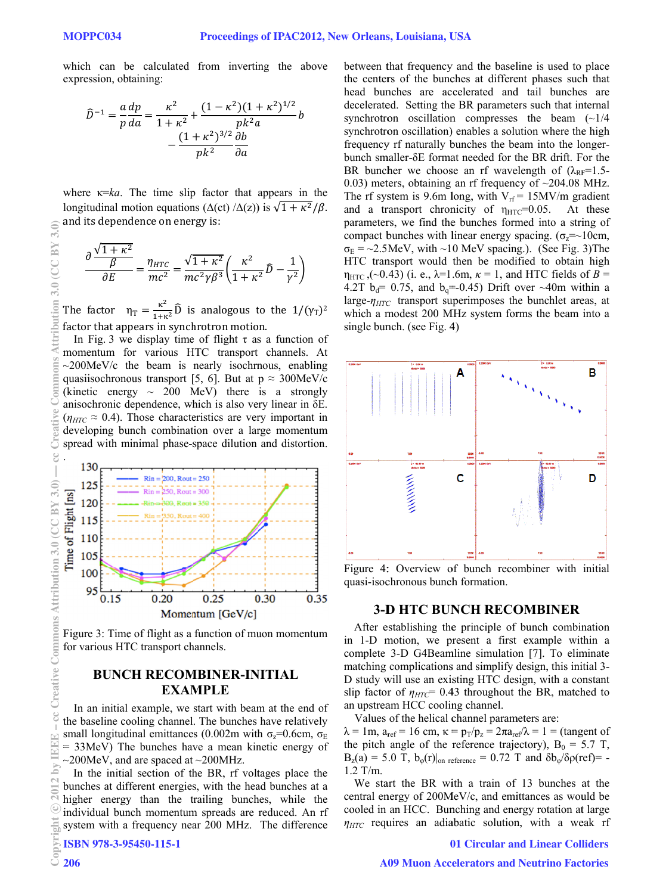which can be calculated from inverting the above expression, obtaining:

$$
\hat{D}^{-1} = \frac{a}{p}\frac{dp}{da} = \frac{\kappa^2}{1+\kappa^2} + \frac{(1-\kappa^2)(1+\kappa^2)^{1/2}}{pk^2a}b
$$

$$
-\frac{(1+\kappa^2)^{3/2}}{pk^2}\frac{\partial b}{\partial a}
$$

where  $\kappa = ka$ . The time slip factor that appears in the longitudinal motion equations ( $\Delta(ct)/\Delta(z)$ ) is  $\sqrt{1 + \kappa^2/\beta}$ . and its dependence on energy is:

$$
\frac{\partial \frac{\sqrt{1+\kappa^2}}{\beta}}{\partial E} = \frac{\eta_{HTC}}{mc^2} = \frac{\sqrt{1+\kappa^2}}{mc^2\gamma\beta^3} \left(\frac{\kappa^2}{1+\kappa^2}\widehat{D} - \frac{1}{\gamma^2}\right)
$$

The factor  $\eta_T = \frac{\kappa^2}{1+\kappa^2} \hat{D}$  is analogous to the  $1/(\gamma_T)^2$ factor that appears in synchrotron motion.

In Fig. 3 we display time of flight  $\tau$  as a function of momentum for various HTC transport channels. At  $\sim$ 200MeV/c the beam is nearly isochronus, enabling quasiisochronous transport [5, 6]. But at  $p \approx 300$ MeV/c (kinetic energy  $\sim 200$  MeV) there is a strongly anisochronic dependence, which is also very linear in  $\delta E$ .  $(\eta_{HTC} \approx 0.4)$ . Those characteristics are very important in developing bunch combination over a large momentum spread with minimal phase-space dilution and distortion.



Figure 3: Time of flight as a function of muon momentum for various HTC transport channels.

## **BUNCH RECOMBINER-INITIAL EXAMPLE**

In an initial example, we start with beam at the end of the baseline cooling channel. The bunches have relatively small longitudinal emittances (0.002m with  $\sigma_z$ =0.6cm,  $\sigma_E$  $= 33$ MeV) The bunches have a mean kinetic energy of  $\sim$ 200MeV, and are spaced at  $\sim$ 200MHz.

In the initial section of the BR, rf voltages place the bunches at different energies, with the head bunches at a higher energy than the trailing bunches, while the individual bunch momentum spreads are reduced. An rf system with a frequency near 200 MHz. The difference

ISBN 978-3-95450-115-1

206

between that frequency and the baseline is used to place the centers of the bunches at different phases such that head bunches are accelerated and tail bunches are decelerated. Setting the BR parameters such that internal synchrotron oscillation compresses the beam  $(\sim 1/4)$ synchrotron oscillation) enables a solution where the high frequency rf naturally bunches the beam into the longerbunch smaller- $\delta$ E format needed for the BR drift. For the BR buncher we choose an rf wavelength of  $(\lambda_{RF} = 1.5$ 0.03) meters, obtaining an rf frequency of  $\sim$ 204.08 MHz. The rf system is 9.6m long, with  $V_{rf} = 15MV/m$  gradient and a transport chronicity of  $\eta_{\text{HTC}}$ =0.05. At these parameters, we find the bunches formed into a string of compact bunches with linear energy spacing. ( $\sigma_z = 10$ cm,  $\sigma_E = 2.5$ MeV, with ~10 MeV spacing.). (See Fig. 3)The HTC transport would then be modified to obtain high  $\eta_{\text{HTC}}$ , (~0.43) (i. e.,  $\lambda$ =1.6m,  $\kappa$  = 1, and HTC fields of B = 4.2T  $b_d$ = 0.75, and  $b_d$ =-0.45) Drift over ~40m within a large- $\eta_{HTC}$  transport superimposes the bunchlet areas, at which a modest 200 MHz system forms the beam into a single bunch. (see Fig. 4)



Figure 4: Overview of bunch recombiner with initial quasi-isochronous bunch formation.

#### **3-D HTC BUNCH RECOMBINER**

After establishing the principle of bunch combination in 1-D motion, we present a first example within a complete 3-D G4Beamline simulation [7]. To eliminate matching complications and simplify design, this initial 3-D study will use an existing HTC design, with a constant slip factor of  $\eta_{HTC}$  = 0.43 throughout the BR, matched to an upstream HCC cooling channel.

Values of the helical channel parameters are:

 $\lambda = 1$ m,  $a_{ref} = 16$  cm,  $\kappa = p_T/p_z = 2\pi a_{ref}/\lambda = 1$  = (tangent of the pitch angle of the reference trajectory),  $B_0 = 5.7 T$ ,  $B_z(a) = 5.0$  T,  $b_{\varphi}(r)|_{\text{on reference}} = 0.72$  T and  $\delta b_{\varphi}/\delta \rho(rcf) = 1.2$  T/m.

We start the BR with a train of 13 bunches at the central energy of 200MeV/c, and emittances as would be cooled in an HCC. Bunching and energy rotation at large  $\eta_{HTC}$  requires an adiabatic solution, with a weak rf